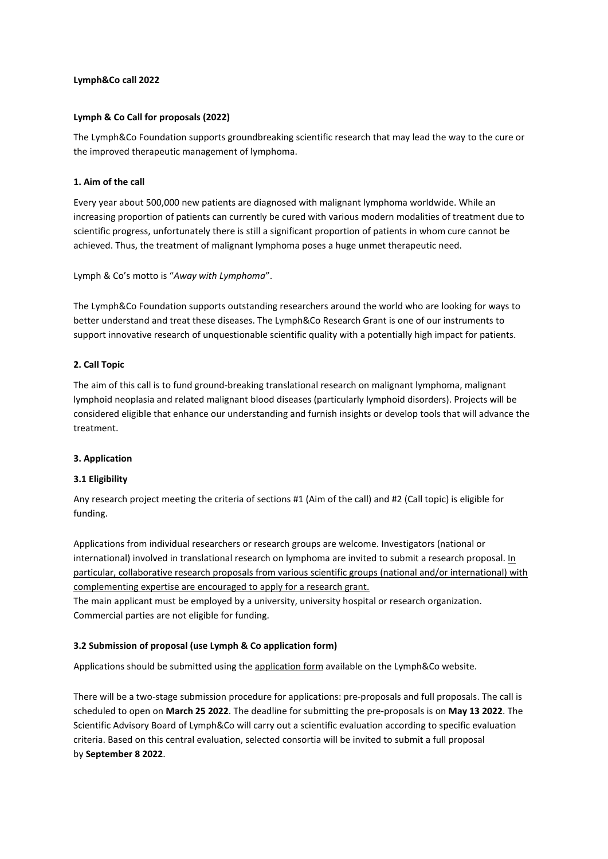# **Lymph&Co call 2022**

### **Lymph & Co Call for proposals (2022)**

The Lymph&Co Foundation supports groundbreaking scientific research that may lead the way to the cure or the improved therapeutic management of lymphoma.

### **1. Aim of the call**

Every year about 500,000 new patients are diagnosed with malignant lymphoma worldwide. While an increasing proportion of patients can currently be cured with various modern modalities of treatment due to scientific progress, unfortunately there is still a significant proportion of patients in whom cure cannot be achieved. Thus, the treatment of malignant lymphoma poses a huge unmet therapeutic need.

Lymph & Co's motto is "*Away with Lymphoma*".

The Lymph&Co Foundation supports outstanding researchers around the world who are looking for ways to better understand and treat these diseases. The Lymph&Co Research Grant is one of our instruments to support innovative research of unquestionable scientific quality with a potentially high impact for patients.

# **2. Call Topic**

The aim of this call is to fund ground-breaking translational research on malignant lymphoma, malignant lymphoid neoplasia and related malignant blood diseases (particularly lymphoid disorders). Projects will be considered eligible that enhance our understanding and furnish insights or develop tools that will advance the treatment.

#### **3. Application**

#### **3.1 Eligibility**

Any research project meeting the criteria of sections #1 (Aim of the call) and #2 (Call topic) is eligible for funding.

Applications from individual researchers or research groups are welcome. Investigators (national or international) involved in translational research on lymphoma are invited to submit a research proposal. In particular, collaborative research proposals from various scientific groups (national and/or international) with complementing expertise are encouraged to apply for a research grant. The main applicant must be employed by a university, university hospital or research organization. Commercial parties are not eligible for funding.

#### **3.2 Submission of proposal (use Lymph & Co application form)**

Applications should be submitted using the [application form](https://www.lymph-co.com/lymph-co-research-grant) available on the Lymph&Co website.

There will be a two-stage submission procedure for applications: pre-proposals and full proposals. The call is scheduled to open on **March 25 2022**. The deadline for submitting the pre-proposals is on **May 13 2022**. The Scientific Advisory Board of Lymph&Co will carry out a scientific evaluation according to specific evaluation criteria. Based on this central evaluation, selected consortia will be invited to submit a full proposal by **September 8 2022**.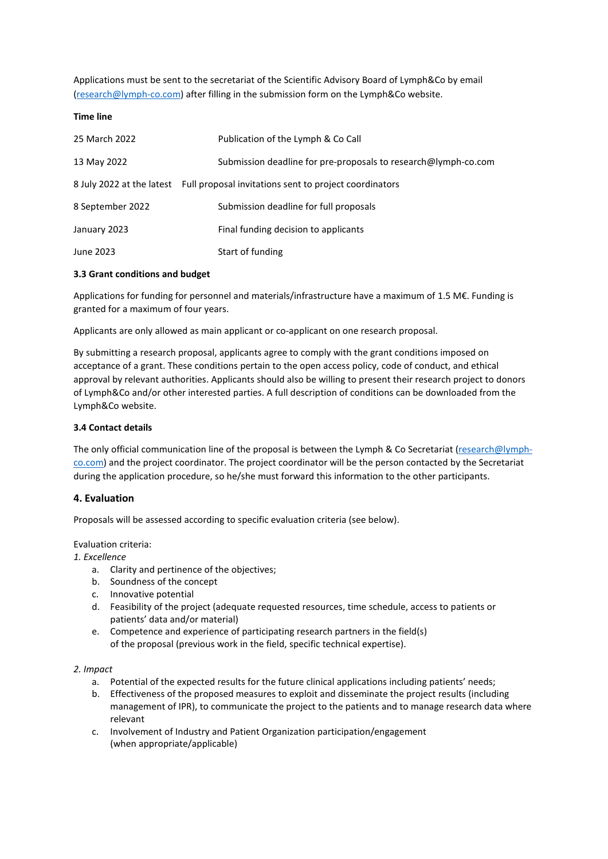Applications must be sent to the secretariat of the Scientific Advisory Board of Lymph&Co by email [\(research@lymph-co.com\)](mailto:research@lymph-co.com) after filling in the submission form on the Lymph&Co website.

### **Time line**

| 25 March 2022    | Publication of the Lymph & Co Call                                               |
|------------------|----------------------------------------------------------------------------------|
| 13 May 2022      | Submission deadline for pre-proposals to research@lymph-co.com                   |
|                  | 8 July 2022 at the latest Full proposal invitations sent to project coordinators |
| 8 September 2022 | Submission deadline for full proposals                                           |
| January 2023     | Final funding decision to applicants                                             |
| June 2023        | Start of funding                                                                 |

# **3.3 Grant conditions and budget**

Applications for funding for personnel and materials/infrastructure have a maximum of 1.5 M€. Funding is granted for a maximum of four years.

Applicants are only allowed as main applicant or co-applicant on one research proposal.

By submitting a research proposal, applicants agree to comply with the grant conditions imposed on acceptance of a grant. These conditions pertain to the open access policy, code of conduct, and ethical approval by relevant authorities. Applicants should also be willing to present their research project to donors of Lymph&Co and/or other interested parties. A full description of conditions can be downloaded from the Lymph&Co website.

# **3.4 Contact details**

The only official communication line of the proposal is between the Lymph & Co Secretariat [\(research@lymph](mailto:research@lymph-co.com)[co.com\)](mailto:research@lymph-co.com) and the project coordinator. The project coordinator will be the person contacted by the Secretariat during the application procedure, so he/she must forward this information to the other participants.

# **4. Evaluation**

Proposals will be assessed according to specific evaluation criteria (see below).

Evaluation criteria:

*1. Excellence* 

- a. Clarity and pertinence of the objectives;
- b. Soundness of the concept
- c. Innovative potential
- d. Feasibility of the project (adequate requested resources, time schedule, access to patients or patients' data and/or material)
- e. Competence and experience of participating research partners in the field(s) of the proposal (previous work in the field, specific technical expertise).

# *2. Impact*

- a. Potential of the expected results for the future clinical applications including patients' needs;
- b. Effectiveness of the proposed measures to exploit and disseminate the project results (including management of IPR), to communicate the project to the patients and to manage research data where relevant
- c. Involvement of Industry and Patient Organization participation/engagement (when appropriate/applicable)